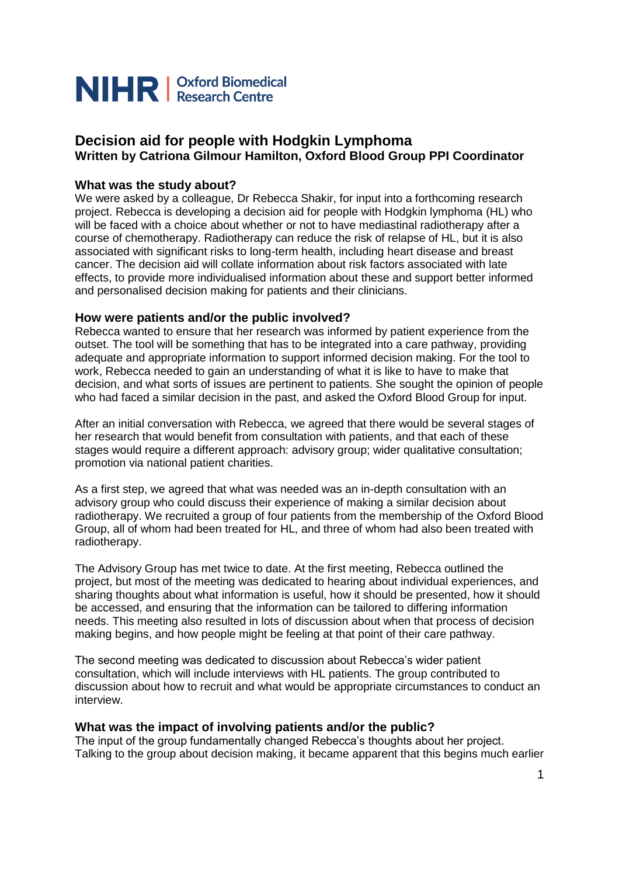

# **Decision aid for people with Hodgkin Lymphoma Written by Catriona Gilmour Hamilton, Oxford Blood Group PPI Coordinator**

#### **What was the study about?**

We were asked by a colleague, Dr Rebecca Shakir, for input into a forthcoming research project. Rebecca is developing a decision aid for people with Hodgkin lymphoma (HL) who will be faced with a choice about whether or not to have mediastinal radiotherapy after a course of chemotherapy. Radiotherapy can reduce the risk of relapse of HL, but it is also associated with significant risks to long-term health, including heart disease and breast cancer. The decision aid will collate information about risk factors associated with late effects, to provide more individualised information about these and support better informed and personalised decision making for patients and their clinicians.

## **How were patients and/or the public involved?**

Rebecca wanted to ensure that her research was informed by patient experience from the outset. The tool will be something that has to be integrated into a care pathway, providing adequate and appropriate information to support informed decision making. For the tool to work, Rebecca needed to gain an understanding of what it is like to have to make that decision, and what sorts of issues are pertinent to patients. She sought the opinion of people who had faced a similar decision in the past, and asked the Oxford Blood Group for input.

After an initial conversation with Rebecca, we agreed that there would be several stages of her research that would benefit from consultation with patients, and that each of these stages would require a different approach: advisory group; wider qualitative consultation; promotion via national patient charities.

As a first step, we agreed that what was needed was an in-depth consultation with an advisory group who could discuss their experience of making a similar decision about radiotherapy. We recruited a group of four patients from the membership of the Oxford Blood Group, all of whom had been treated for HL, and three of whom had also been treated with radiotherapy.

The Advisory Group has met twice to date. At the first meeting, Rebecca outlined the project, but most of the meeting was dedicated to hearing about individual experiences, and sharing thoughts about what information is useful, how it should be presented, how it should be accessed, and ensuring that the information can be tailored to differing information needs. This meeting also resulted in lots of discussion about when that process of decision making begins, and how people might be feeling at that point of their care pathway.

The second meeting was dedicated to discussion about Rebecca's wider patient consultation, which will include interviews with HL patients. The group contributed to discussion about how to recruit and what would be appropriate circumstances to conduct an interview.

#### **What was the impact of involving patients and/or the public?**

The input of the group fundamentally changed Rebecca's thoughts about her project. Talking to the group about decision making, it became apparent that this begins much earlier